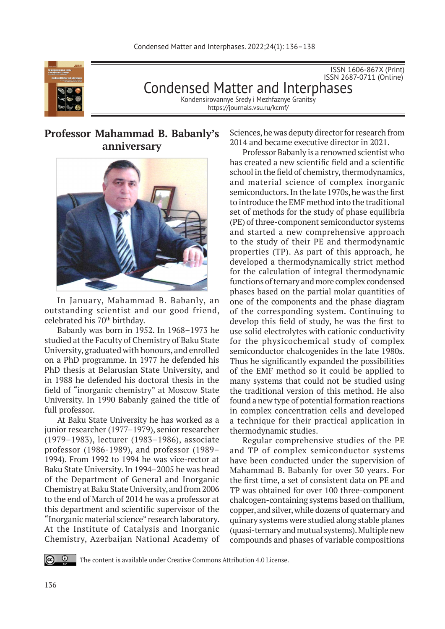

ISSN 1606-867Х (Print) ISSN 2687-0711 (Online) Condensed Matter and Interphases Kondensirovannye Sredy i Mezhfaznye Granitsy

https://journals.vsu.ru/kcmf/

## **Professor Mahammad B. Babanly's anniversary**



In January, Mahammad B. Babanly, an outstanding scientist and our good friend, celebrated his 70th birthday.

Babanly was born in 1952. In 1968–1973 he studied at the Faculty of Chemistry of Baku State University, graduated with honours, and enrolled on a PhD programme. In 1977 he defended his PhD thesis at Belarusian State University, and in 1988 he defended his doctoral thesis in the field of "inorganic chemistry" at Moscow State University. In 1990 Babanly gained the title of full professor.

At Baku State University he has worked as a junior researcher (1977–1979), senior researcher (1979–1983), lecturer (1983–1986), associate professor (1986-1989), and professor (1989– 1994). From 1992 to 1994 he was vice-rector at Baku State University. In 1994–2005 he was head of the Department of General and Inorganic Chemistry at Baku State University, and from 2006 to the end of March of 2014 he was a professor at this department and scientific supervisor of the "Inorganic material science" research laboratory. At the Institute of Catalysis and Inorganic Chemistry, Azerbaijan National Academy of Sciences, he was deputy director for research from 2014 and became executive director in 2021.

Professor Babanly is a renowned scientist who has created a new scientific field and a scientific school in the field of chemistry, thermodynamics, and material science of complex inorganic semiconductors. In the late 1970s, he was the first to introduce the EMF method into the traditional set of methods for the study of phase equilibria (PE) of three-component semiconductor systems and started a new comprehensive approach to the study of their PE and thermodynamic properties (TP). As part of this approach, he developed a thermodynamically strict method for the calculation of integral thermodynamic functions of ternary and more complex condensed phases based on the partial molar quantities of one of the components and the phase diagram of the corresponding system. Continuing to develop this field of study, he was the first to use solid electrolytes with cationic conductivity for the physicochemical study of complex semiconductor chalcogenides in the late 1980s. Thus he significantly expanded the possibilities of the EMF method so it could be applied to many systems that could not be studied using the traditional version of this method. He also found a new type of potential formation reactions in complex concentration cells and developed a technique for their practical application in thermodynamic studies.

Regular comprehensive studies of the PE and TP of complex semiconductor systems have been conducted under the supervision of Mahammad B. Babanly for over 30 years. For the first time, a set of consistent data on PE and TP was obtained for over 100 three-component chalcogen-containing systems based on thallium, copper, and silver, while dozens of quaternary and quinary systems were studied along stable planes (quasi-ternary and mutual systems). Multiple new compounds and phases of variable compositions

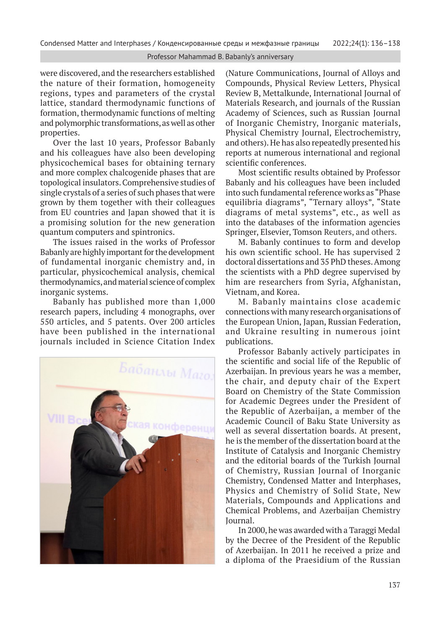## Professor Mahammad B. Babanly's anniversary

were discovered, and the researchers established the nature of their formation, homogeneity regions, types and parameters of the crystal lattice, standard thermodynamic functions of formation, thermodynamic functions of melting and polymorphic transformations, as well as other properties.

Over the last 10 years, Professor Babanly and his colleagues have also been developing physicochemical bases for obtaining ternary and more complex chalcogenide phases that are topological insulators. Comprehensive studies of single crystals of a series of such phases that were grown by them together with their colleagues from EU countries and Japan showed that it is a promising solution for the new generation quantum computers and spintronics.

The issues raised in the works of Professor Babanly are highly important for the development of fundamental inorganic chemistry and, in particular, physicochemical analysis, chemical thermodynamics, and material science of complex inorganic systems.

Babanly has published more than 1,000 research papers, including 4 monographs, over 550 articles, and 5 patents. Over 200 articles have been published in the international journals included in Science Citation Index



(Nature Communications, Journal of Alloys and Compounds, Physical Review Letters, Physical Review B, Mettalkunde, International Journal of Materials Research, and journals of the Russian Academy of Sciences, such as Russian Journal of Inorganic Chemistry, Inorganic materials, Physical Chemistry Journal, Electrochemistry, and others). He has also repeatedly presented his reports at numerous international and regional scientific conferences.

Most scientific results obtained by Professor Babanly and his colleagues have been included into such fundamental reference works as "Phase equilibria diagrams", "Ternary alloys", "State diagrams of metal systems", etc., as well as into the databases of the information agencies Springer, Elsevier, Tomson Reuters, and others.

M. Babanly continues to form and develop his own scientific school. He has supervised 2 doctoral dissertations and 35 PhD theses. Among the scientists with a PhD degree supervised by him are researchers from Syria, Afghanistan, Vietnam, and Korea.

M. Babanly maintains close academic connections with many research organisations of the European Union, Japan, Russian Federation, and Ukraine resulting in numerous joint publications.

Professor Babanly actively participates in the scientific and social life of the Republic of Azerbaijan. In previous years he was a member, the chair, and deputy chair of the Expert Board on Chemistry of the State Commission for Academic Degrees under the President of the Republic of Azerbaijan, a member of the Academic Council of Baku State University as well as several dissertation boards. At present, he is the member of the dissertation board at the Institute of Catalysis and Inorganic Chemistry and the editorial boards of the Turkish Journal of Chemistry, Russian Journal of Inorganic Chemistry, Condensed Matter and Interphases, Physics and Chemistry of Solid State, New Materials, Compounds and Applications and Chemical Problems, and Azerbaijan Chemistry Journal.

In 2000, he was awarded with a Taraggi Medal by the Decree of the President of the Republic of Azerbaijan. In 2011 he received a prize and a diploma of the Praesidium of the Russian